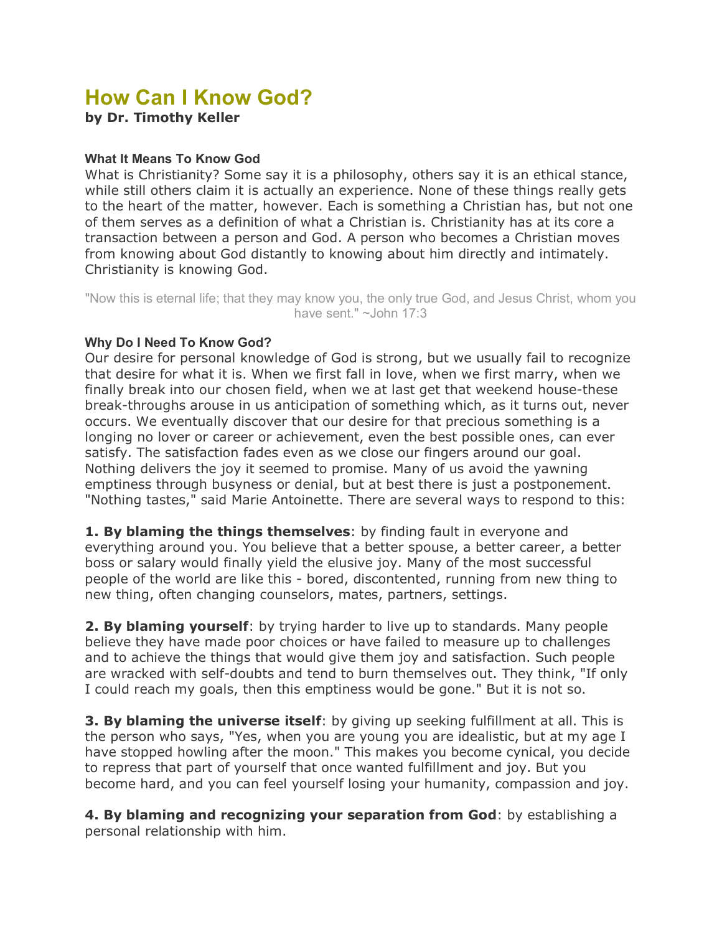# **How Can I Know God?**

**by Dr. Timothy Keller**

## **What It Means To Know God**

What is Christianity? Some say it is a philosophy, others say it is an ethical stance, while still others claim it is actually an experience. None of these things really gets to the heart of the matter, however. Each is something a Christian has, but not one of them serves as a definition of what a Christian is. Christianity has at its core a transaction between a person and God. A person who becomes a Christian moves from knowing about God distantly to knowing about him directly and intimately. Christianity is knowing God.

"Now this is eternal life; that they may know you, the only true God, and Jesus Christ, whom you have sent." ~John 17:3

## **Why Do I Need To Know God?**

Our desire for personal knowledge of God is strong, but we usually fail to recognize that desire for what it is. When we first fall in love, when we first marry, when we finally break into our chosen field, when we at last get that weekend house-these break-throughs arouse in us anticipation of something which, as it turns out, never occurs. We eventually discover that our desire for that precious something is a longing no lover or career or achievement, even the best possible ones, can ever satisfy. The satisfaction fades even as we close our fingers around our goal. Nothing delivers the joy it seemed to promise. Many of us avoid the yawning emptiness through busyness or denial, but at best there is just a postponement. "Nothing tastes," said Marie Antoinette. There are several ways to respond to this:

**1. By blaming the things themselves**: by finding fault in everyone and everything around you. You believe that a better spouse, a better career, a better boss or salary would finally yield the elusive joy. Many of the most successful people of the world are like this - bored, discontented, running from new thing to new thing, often changing counselors, mates, partners, settings.

**2. By blaming yourself**: by trying harder to live up to standards. Many people believe they have made poor choices or have failed to measure up to challenges and to achieve the things that would give them joy and satisfaction. Such people are wracked with self-doubts and tend to burn themselves out. They think, "If only I could reach my goals, then this emptiness would be gone." But it is not so.

**3. By blaming the universe itself**: by giving up seeking fulfillment at all. This is the person who says, "Yes, when you are young you are idealistic, but at my age I have stopped howling after the moon." This makes you become cynical, you decide to repress that part of yourself that once wanted fulfillment and joy. But you become hard, and you can feel yourself losing your humanity, compassion and joy.

**4. By blaming and recognizing your separation from God**: by establishing a personal relationship with him.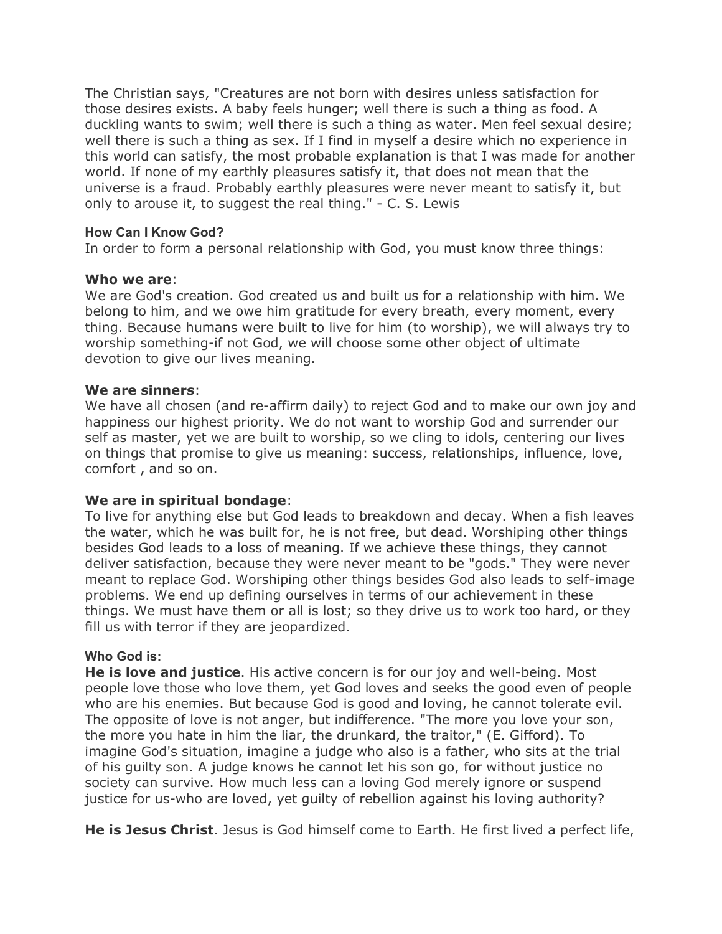The Christian says, "Creatures are not born with desires unless satisfaction for those desires exists. A baby feels hunger; well there is such a thing as food. A duckling wants to swim; well there is such a thing as water. Men feel sexual desire; well there is such a thing as sex. If I find in myself a desire which no experience in this world can satisfy, the most probable explanation is that I was made for another world. If none of my earthly pleasures satisfy it, that does not mean that the universe is a fraud. Probably earthly pleasures were never meant to satisfy it, but only to arouse it, to suggest the real thing." - C. S. Lewis

## **How Can I Know God?**

In order to form a personal relationship with God, you must know three things:

## **Who we are**:

We are God's creation. God created us and built us for a relationship with him. We belong to him, and we owe him gratitude for every breath, every moment, every thing. Because humans were built to live for him (to worship), we will always try to worship something-if not God, we will choose some other object of ultimate devotion to give our lives meaning.

## **We are sinners**:

We have all chosen (and re-affirm daily) to reject God and to make our own joy and happiness our highest priority. We do not want to worship God and surrender our self as master, yet we are built to worship, so we cling to idols, centering our lives on things that promise to give us meaning: success, relationships, influence, love, comfort , and so on.

## **We are in spiritual bondage**:

To live for anything else but God leads to breakdown and decay. When a fish leaves the water, which he was built for, he is not free, but dead. Worshiping other things besides God leads to a loss of meaning. If we achieve these things, they cannot deliver satisfaction, because they were never meant to be "gods." They were never meant to replace God. Worshiping other things besides God also leads to self-image problems. We end up defining ourselves in terms of our achievement in these things. We must have them or all is lost; so they drive us to work too hard, or they fill us with terror if they are jeopardized.

## **Who God is:**

**He is love and justice**. His active concern is for our joy and well-being. Most people love those who love them, yet God loves and seeks the good even of people who are his enemies. But because God is good and loving, he cannot tolerate evil. The opposite of love is not anger, but indifference. "The more you love your son, the more you hate in him the liar, the drunkard, the traitor," (E. Gifford). To imagine God's situation, imagine a judge who also is a father, who sits at the trial of his guilty son. A judge knows he cannot let his son go, for without justice no society can survive. How much less can a loving God merely ignore or suspend justice for us-who are loved, yet guilty of rebellion against his loving authority?

**He is Jesus Christ**. Jesus is God himself come to Earth. He first lived a perfect life,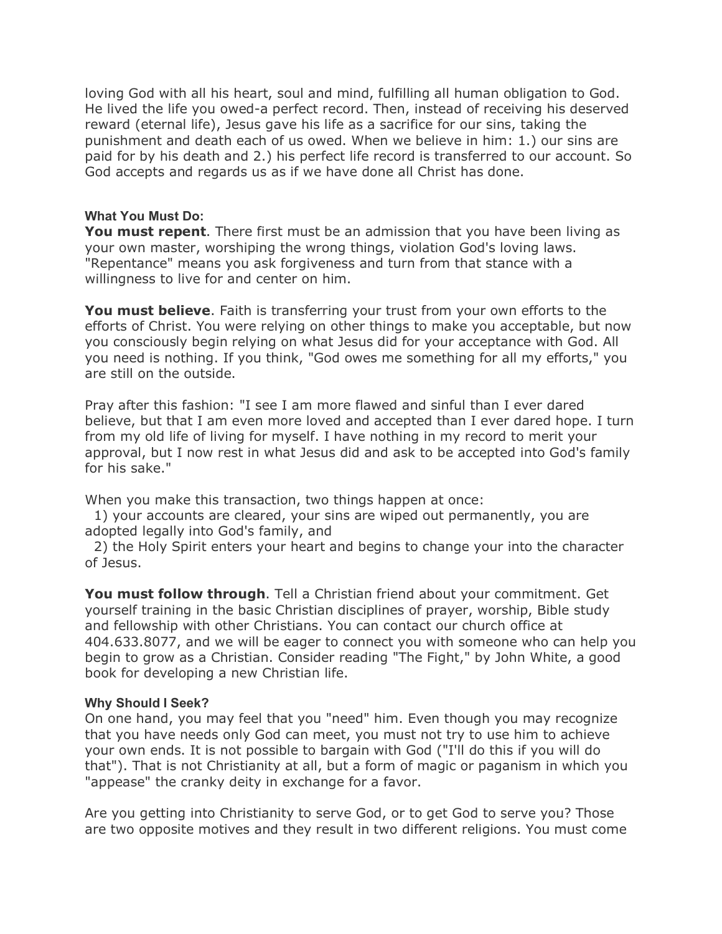loving God with all his heart, soul and mind, fulfilling all human obligation to God. He lived the life you owed-a perfect record. Then, instead of receiving his deserved reward (eternal life), Jesus gave his life as a sacrifice for our sins, taking the punishment and death each of us owed. When we believe in him: 1.) our sins are paid for by his death and 2.) his perfect life record is transferred to our account. So God accepts and regards us as if we have done all Christ has done.

## **What You Must Do:**

**You must repent**. There first must be an admission that you have been living as your own master, worshiping the wrong things, violation God's loving laws. "Repentance" means you ask forgiveness and turn from that stance with a willingness to live for and center on him.

**You must believe**. Faith is transferring your trust from your own efforts to the efforts of Christ. You were relying on other things to make you acceptable, but now you consciously begin relying on what Jesus did for your acceptance with God. All you need is nothing. If you think, "God owes me something for all my efforts," you are still on the outside.

Pray after this fashion: "I see I am more flawed and sinful than I ever dared believe, but that I am even more loved and accepted than I ever dared hope. I turn from my old life of living for myself. I have nothing in my record to merit your approval, but I now rest in what Jesus did and ask to be accepted into God's family for his sake."

When you make this transaction, two things happen at once:

 1) your accounts are cleared, your sins are wiped out permanently, you are adopted legally into God's family, and

 2) the Holy Spirit enters your heart and begins to change your into the character of Jesus.

**You must follow through**. Tell a Christian friend about your commitment. Get yourself training in the basic Christian disciplines of prayer, worship, Bible study and fellowship with other Christians. You can contact our church office at 404.633.8077, and we will be eager to connect you with someone who can help you begin to grow as a Christian. Consider reading "The Fight," by John White, a good book for developing a new Christian life.

## **Why Should I Seek?**

On one hand, you may feel that you "need" him. Even though you may recognize that you have needs only God can meet, you must not try to use him to achieve your own ends. It is not possible to bargain with God ("I'll do this if you will do that"). That is not Christianity at all, but a form of magic or paganism in which you "appease" the cranky deity in exchange for a favor.

Are you getting into Christianity to serve God, or to get God to serve you? Those are two opposite motives and they result in two different religions. You must come